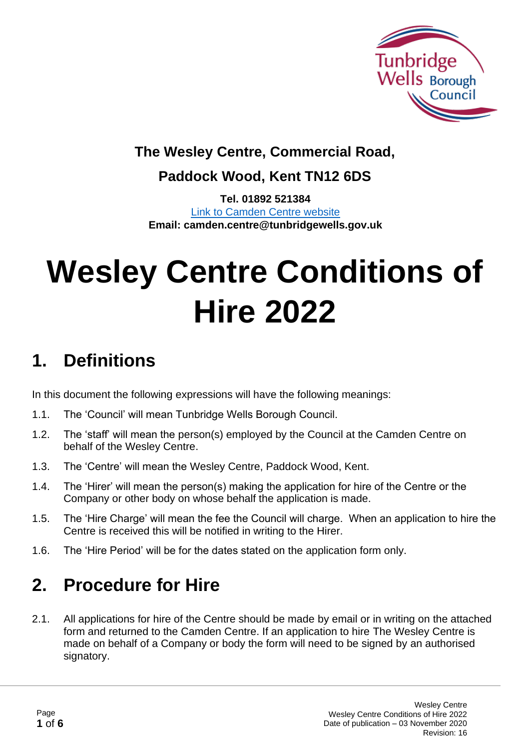

### **The Wesley Centre, Commercial Road,**

#### **Paddock Wood, Kent TN12 6DS**

**Tel. 01892 521384** [Link to Camden Centre website](https://www.tunbridgewells.gov.uk/community-and-leisure/community-centres/camden-centre) **Email: camden.centre@tunbridgewells.gov.uk**

# **Wesley Centre Conditions of Hire 2022**

## **1. Definitions**

In this document the following expressions will have the following meanings:

- 1.1. The 'Council' will mean Tunbridge Wells Borough Council.
- 1.2. The 'staff' will mean the person(s) employed by the Council at the Camden Centre on behalf of the Wesley Centre.
- 1.3. The 'Centre' will mean the Wesley Centre, Paddock Wood, Kent.
- 1.4. The 'Hirer' will mean the person(s) making the application for hire of the Centre or the Company or other body on whose behalf the application is made.
- 1.5. The 'Hire Charge' will mean the fee the Council will charge. When an application to hire the Centre is received this will be notified in writing to the Hirer.
- 1.6. The 'Hire Period' will be for the dates stated on the application form only.

### **2. Procedure for Hire**

2.1. All applications for hire of the Centre should be made by email or in writing on the attached form and returned to the Camden Centre. If an application to hire The Wesley Centre is made on behalf of a Company or body the form will need to be signed by an authorised signatory.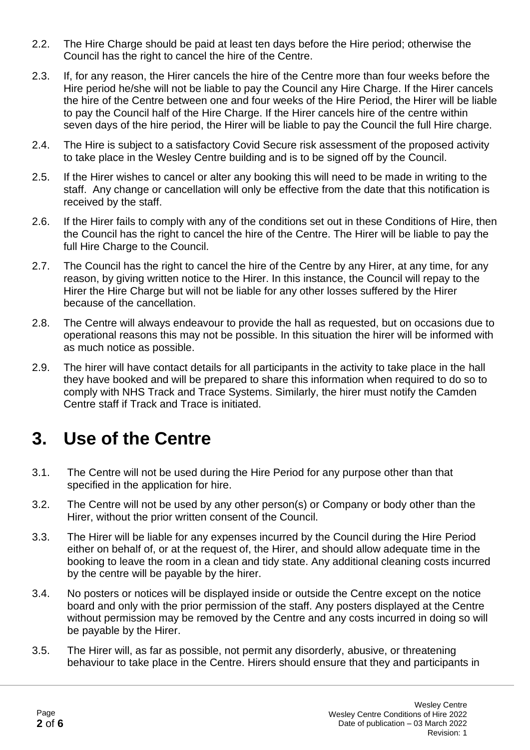- 2.2. The Hire Charge should be paid at least ten days before the Hire period; otherwise the Council has the right to cancel the hire of the Centre.
- 2.3. If, for any reason, the Hirer cancels the hire of the Centre more than four weeks before the Hire period he/she will not be liable to pay the Council any Hire Charge. If the Hirer cancels the hire of the Centre between one and four weeks of the Hire Period, the Hirer will be liable to pay the Council half of the Hire Charge. If the Hirer cancels hire of the centre within seven days of the hire period, the Hirer will be liable to pay the Council the full Hire charge.
- 2.4. The Hire is subject to a satisfactory Covid Secure risk assessment of the proposed activity to take place in the Wesley Centre building and is to be signed off by the Council.
- 2.5. If the Hirer wishes to cancel or alter any booking this will need to be made in writing to the staff. Any change or cancellation will only be effective from the date that this notification is received by the staff.
- 2.6. If the Hirer fails to comply with any of the conditions set out in these Conditions of Hire, then the Council has the right to cancel the hire of the Centre. The Hirer will be liable to pay the full Hire Charge to the Council.
- 2.7. The Council has the right to cancel the hire of the Centre by any Hirer, at any time, for any reason, by giving written notice to the Hirer. In this instance, the Council will repay to the Hirer the Hire Charge but will not be liable for any other losses suffered by the Hirer because of the cancellation.
- 2.8. The Centre will always endeavour to provide the hall as requested, but on occasions due to operational reasons this may not be possible. In this situation the hirer will be informed with as much notice as possible.
- 2.9. The hirer will have contact details for all participants in the activity to take place in the hall they have booked and will be prepared to share this information when required to do so to comply with NHS Track and Trace Systems. Similarly, the hirer must notify the Camden Centre staff if Track and Trace is initiated.

### **3. Use of the Centre**

- 3.1. The Centre will not be used during the Hire Period for any purpose other than that specified in the application for hire.
- 3.2. The Centre will not be used by any other person(s) or Company or body other than the Hirer, without the prior written consent of the Council.
- 3.3. The Hirer will be liable for any expenses incurred by the Council during the Hire Period either on behalf of, or at the request of, the Hirer, and should allow adequate time in the booking to leave the room in a clean and tidy state. Any additional cleaning costs incurred by the centre will be payable by the hirer.
- 3.4. No posters or notices will be displayed inside or outside the Centre except on the notice board and only with the prior permission of the staff. Any posters displayed at the Centre without permission may be removed by the Centre and any costs incurred in doing so will be payable by the Hirer.
- 3.5. The Hirer will, as far as possible, not permit any disorderly, abusive, or threatening behaviour to take place in the Centre. Hirers should ensure that they and participants in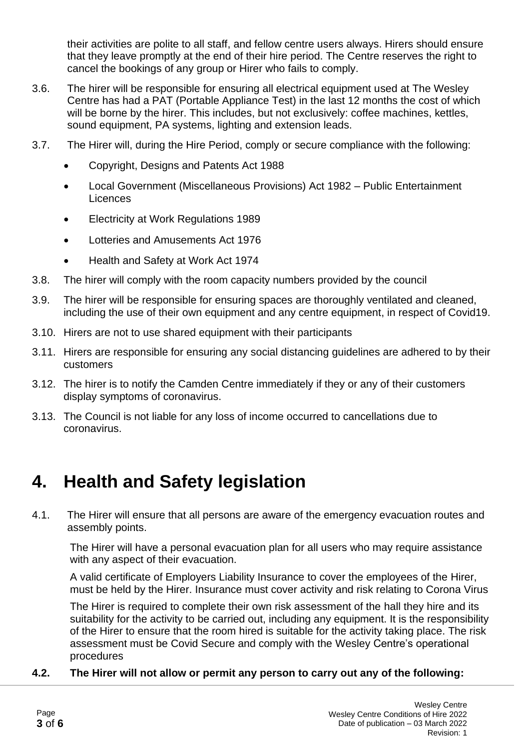their activities are polite to all staff, and fellow centre users always. Hirers should ensure that they leave promptly at the end of their hire period. The Centre reserves the right to cancel the bookings of any group or Hirer who fails to comply.

- 3.6. The hirer will be responsible for ensuring all electrical equipment used at The Wesley Centre has had a PAT (Portable Appliance Test) in the last 12 months the cost of which will be borne by the hirer. This includes, but not exclusively: coffee machines, kettles, sound equipment, PA systems, lighting and extension leads.
- 3.7. The Hirer will, during the Hire Period, comply or secure compliance with the following:
	- Copyright, Designs and Patents Act 1988
	- Local Government (Miscellaneous Provisions) Act 1982 Public Entertainment Licences
	- Electricity at Work Regulations 1989
	- Lotteries and Amusements Act 1976
	- Health and Safety at Work Act 1974
- 3.8. The hirer will comply with the room capacity numbers provided by the council
- 3.9. The hirer will be responsible for ensuring spaces are thoroughly ventilated and cleaned, including the use of their own equipment and any centre equipment, in respect of Covid19.
- 3.10. Hirers are not to use shared equipment with their participants
- 3.11. Hirers are responsible for ensuring any social distancing guidelines are adhered to by their customers
- 3.12. The hirer is to notify the Camden Centre immediately if they or any of their customers display symptoms of coronavirus.
- 3.13. The Council is not liable for any loss of income occurred to cancellations due to coronavirus.

### **4. Health and Safety legislation**

4.1. The Hirer will ensure that all persons are aware of the emergency evacuation routes and assembly points.

The Hirer will have a personal evacuation plan for all users who may require assistance with any aspect of their evacuation.

A valid certificate of Employers Liability Insurance to cover the employees of the Hirer, must be held by the Hirer. Insurance must cover activity and risk relating to Corona Virus

The Hirer is required to complete their own risk assessment of the hall they hire and its suitability for the activity to be carried out, including any equipment. It is the responsibility of the Hirer to ensure that the room hired is suitable for the activity taking place. The risk assessment must be Covid Secure and comply with the Wesley Centre's operational procedures

#### **4.2. The Hirer will not allow or permit any person to carry out any of the following:**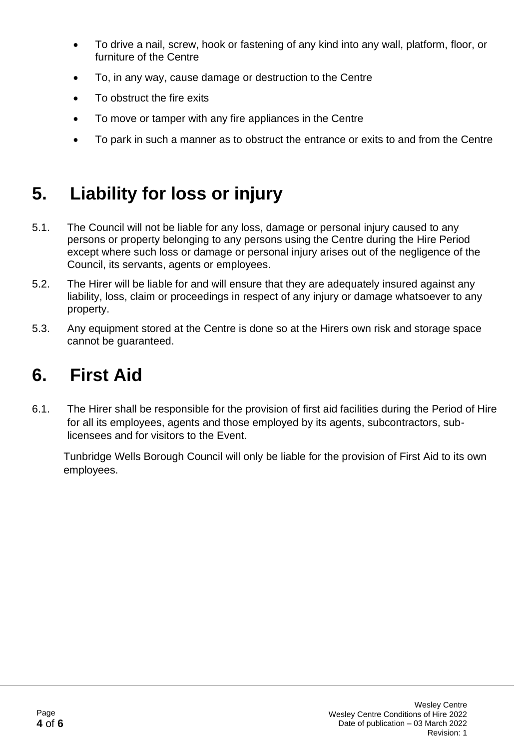- To drive a nail, screw, hook or fastening of any kind into any wall, platform, floor, or furniture of the Centre
- To, in any way, cause damage or destruction to the Centre
- To obstruct the fire exits
- To move or tamper with any fire appliances in the Centre
- To park in such a manner as to obstruct the entrance or exits to and from the Centre

### **5. Liability for loss or injury**

- 5.1. The Council will not be liable for any loss, damage or personal injury caused to any persons or property belonging to any persons using the Centre during the Hire Period except where such loss or damage or personal injury arises out of the negligence of the Council, its servants, agents or employees.
- 5.2. The Hirer will be liable for and will ensure that they are adequately insured against any liability, loss, claim or proceedings in respect of any injury or damage whatsoever to any property.
- 5.3. Any equipment stored at the Centre is done so at the Hirers own risk and storage space cannot be guaranteed.

### **6. First Aid**

6.1. The Hirer shall be responsible for the provision of first aid facilities during the Period of Hire for all its employees, agents and those employed by its agents, subcontractors, sublicensees and for visitors to the Event.

Tunbridge Wells Borough Council will only be liable for the provision of First Aid to its own employees.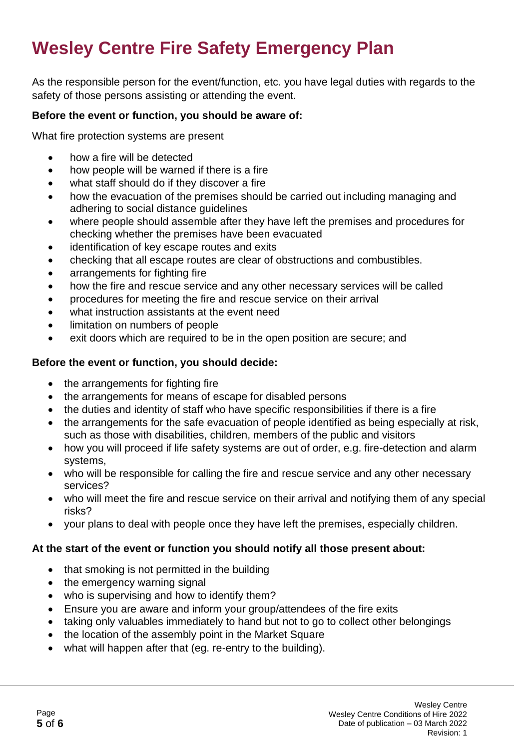# **Wesley Centre Fire Safety Emergency Plan**

As the responsible person for the event/function, etc. you have legal duties with regards to the safety of those persons assisting or attending the event.

#### **Before the event or function, you should be aware of:**

What fire protection systems are present

- how a fire will be detected
- how people will be warned if there is a fire
- what staff should do if they discover a fire
- how the evacuation of the premises should be carried out including managing and adhering to social distance guidelines
- where people should assemble after they have left the premises and procedures for checking whether the premises have been evacuated
- identification of key escape routes and exits
- checking that all escape routes are clear of obstructions and combustibles.
- arrangements for fighting fire
- how the fire and rescue service and any other necessary services will be called
- procedures for meeting the fire and rescue service on their arrival
- what instruction assistants at the event need
- limitation on numbers of people
- exit doors which are required to be in the open position are secure; and

#### **Before the event or function, you should decide:**

- the arrangements for fighting fire
- the arrangements for means of escape for disabled persons
- the duties and identity of staff who have specific responsibilities if there is a fire
- the arrangements for the safe evacuation of people identified as being especially at risk, such as those with disabilities, children, members of the public and visitors
- how you will proceed if life safety systems are out of order, e.g. fire-detection and alarm systems,
- who will be responsible for calling the fire and rescue service and any other necessary services?
- who will meet the fire and rescue service on their arrival and notifying them of any special risks?
- your plans to deal with people once they have left the premises, especially children.

#### **At the start of the event or function you should notify all those present about:**

- that smoking is not permitted in the building
- the emergency warning signal
- who is supervising and how to identify them?
- Ensure you are aware and inform your group/attendees of the fire exits
- taking only valuables immediately to hand but not to go to collect other belongings
- the location of the assembly point in the Market Square
- what will happen after that (eg. re-entry to the building).